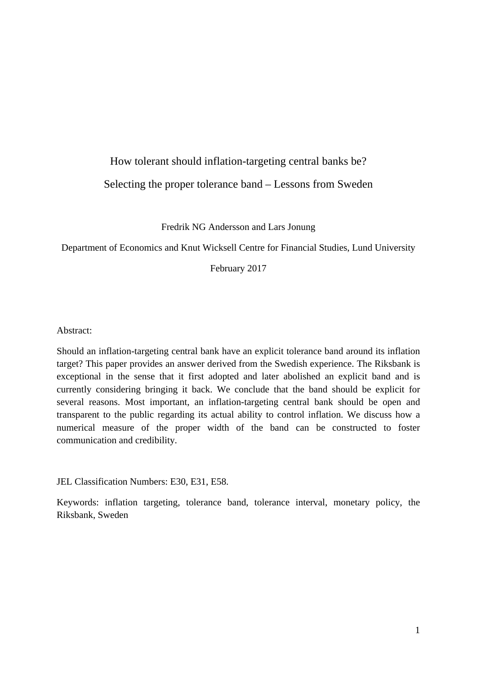# How tolerant should inflation-targeting central banks be? Selecting the proper tolerance band – Lessons from Sweden

Fredrik NG Andersson and Lars Jonung

Department of Economics and Knut Wicksell Centre for Financial Studies, Lund University

February 2017

Abstract:

Should an inflation-targeting central bank have an explicit tolerance band around its inflation target? This paper provides an answer derived from the Swedish experience. The Riksbank is exceptional in the sense that it first adopted and later abolished an explicit band and is currently considering bringing it back. We conclude that the band should be explicit for several reasons. Most important, an inflation-targeting central bank should be open and transparent to the public regarding its actual ability to control inflation. We discuss how a numerical measure of the proper width of the band can be constructed to foster communication and credibility.

JEL Classification Numbers: E30, E31, E58.

Keywords: inflation targeting, tolerance band, tolerance interval, monetary policy, the Riksbank, Sweden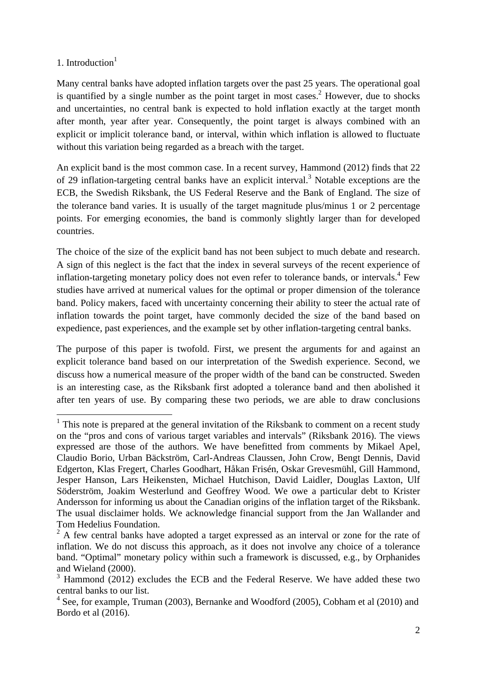# 1. Introduction $<sup>1</sup>$ </sup>

<u>.</u>

Many central banks have adopted inflation targets over the past 25 years. The operational goal is quantified by a single number as the point target in most cases.<sup>2</sup> However, due to shocks and uncertainties, no central bank is expected to hold inflation exactly at the target month after month, year after year. Consequently, the point target is always combined with an explicit or implicit tolerance band, or interval, within which inflation is allowed to fluctuate without this variation being regarded as a breach with the target.

An explicit band is the most common case. In a recent survey, Hammond (2012) finds that 22 of 29 inflation-targeting central banks have an explicit interval.<sup>3</sup> Notable exceptions are the ECB, the Swedish Riksbank, the US Federal Reserve and the Bank of England. The size of the tolerance band varies. It is usually of the target magnitude plus/minus 1 or 2 percentage points. For emerging economies, the band is commonly slightly larger than for developed countries.

The choice of the size of the explicit band has not been subject to much debate and research. A sign of this neglect is the fact that the index in several surveys of the recent experience of inflation-targeting monetary policy does not even refer to tolerance bands, or intervals.<sup>4</sup> Few studies have arrived at numerical values for the optimal or proper dimension of the tolerance band. Policy makers, faced with uncertainty concerning their ability to steer the actual rate of inflation towards the point target, have commonly decided the size of the band based on expedience, past experiences, and the example set by other inflation-targeting central banks.

The purpose of this paper is twofold. First, we present the arguments for and against an explicit tolerance band based on our interpretation of the Swedish experience. Second, we discuss how a numerical measure of the proper width of the band can be constructed. Sweden is an interesting case, as the Riksbank first adopted a tolerance band and then abolished it after ten years of use. By comparing these two periods, we are able to draw conclusions

 $<sup>1</sup>$  This note is prepared at the general invitation of the Riksbank to comment on a recent study</sup> on the "pros and cons of various target variables and intervals" (Riksbank 2016). The views expressed are those of the authors. We have benefitted from comments by Mikael Apel, Claudio Borio, Urban Bäckström, Carl-Andreas Claussen, John Crow, Bengt Dennis, David Edgerton, Klas Fregert, Charles Goodhart, Håkan Frisén, Oskar Grevesmühl, Gill Hammond, Jesper Hanson, Lars Heikensten, Michael Hutchison, David Laidler, Douglas Laxton, Ulf Söderström, Joakim Westerlund and Geoffrey Wood. We owe a particular debt to Krister Andersson for informing us about the Canadian origins of the inflation target of the Riksbank. The usual disclaimer holds. We acknowledge financial support from the Jan Wallander and Tom Hedelius Foundation.

 $2^2$  A few central banks have adopted a target expressed as an interval or zone for the rate of inflation. We do not discuss this approach, as it does not involve any choice of a tolerance band. "Optimal" monetary policy within such a framework is discussed, e.g., by Orphanides and Wieland (2000).

<sup>&</sup>lt;sup>3</sup> Hammond (2012) excludes the ECB and the Federal Reserve. We have added these two central banks to our list.

 $4$  See, for example, Truman (2003), Bernanke and Woodford (2005), Cobham et al (2010) and Bordo et al (2016).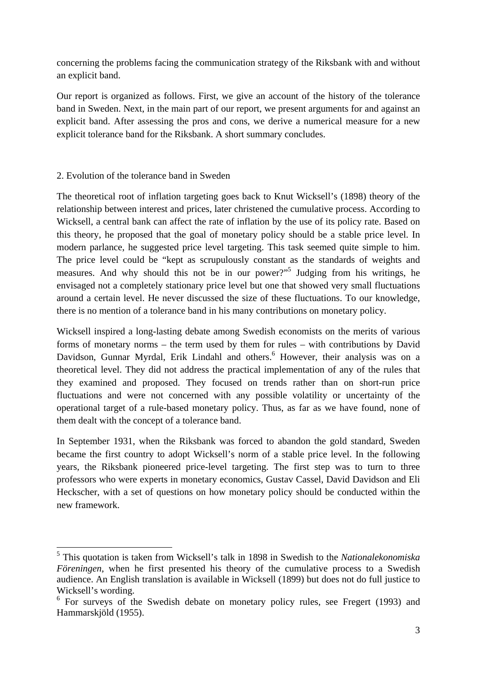concerning the problems facing the communication strategy of the Riksbank with and without an explicit band.

Our report is organized as follows. First, we give an account of the history of the tolerance band in Sweden. Next, in the main part of our report, we present arguments for and against an explicit band. After assessing the pros and cons, we derive a numerical measure for a new explicit tolerance band for the Riksbank. A short summary concludes.

### 2. Evolution of the tolerance band in Sweden

1

The theoretical root of inflation targeting goes back to Knut Wicksell's (1898) theory of the relationship between interest and prices, later christened the cumulative process. According to Wicksell, a central bank can affect the rate of inflation by the use of its policy rate. Based on this theory, he proposed that the goal of monetary policy should be a stable price level. In modern parlance, he suggested price level targeting. This task seemed quite simple to him. The price level could be "kept as scrupulously constant as the standards of weights and measures. And why should this not be in our power?"<sup>5</sup> Judging from his writings, he envisaged not a completely stationary price level but one that showed very small fluctuations around a certain level. He never discussed the size of these fluctuations. To our knowledge, there is no mention of a tolerance band in his many contributions on monetary policy.

Wicksell inspired a long-lasting debate among Swedish economists on the merits of various forms of monetary norms – the term used by them for rules – with contributions by David Davidson, Gunnar Myrdal, Erik Lindahl and others.<sup>6</sup> However, their analysis was on a theoretical level. They did not address the practical implementation of any of the rules that they examined and proposed. They focused on trends rather than on short-run price fluctuations and were not concerned with any possible volatility or uncertainty of the operational target of a rule-based monetary policy. Thus, as far as we have found, none of them dealt with the concept of a tolerance band.

In September 1931, when the Riksbank was forced to abandon the gold standard, Sweden became the first country to adopt Wicksell's norm of a stable price level. In the following years, the Riksbank pioneered price-level targeting. The first step was to turn to three professors who were experts in monetary economics, Gustav Cassel, David Davidson and Eli Heckscher, with a set of questions on how monetary policy should be conducted within the new framework.

<sup>5</sup> This quotation is taken from Wicksell's talk in 1898 in Swedish to the *Nationalekonomiska Föreningen*, when he first presented his theory of the cumulative process to a Swedish audience. An English translation is available in Wicksell (1899) but does not do full justice to Wicksell's wording.

<sup>&</sup>lt;sup>6</sup> For surveys of the Swedish debate on monetary policy rules, see Fregert (1993) and Hammarskjöld (1955).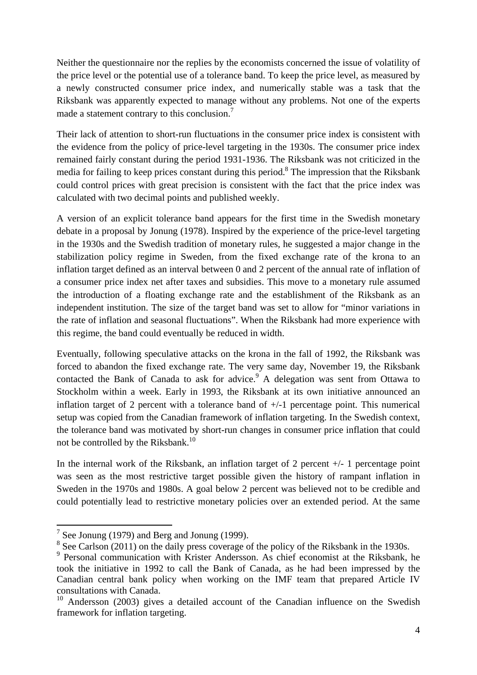Neither the questionnaire nor the replies by the economists concerned the issue of volatility of the price level or the potential use of a tolerance band. To keep the price level, as measured by a newly constructed consumer price index, and numerically stable was a task that the Riksbank was apparently expected to manage without any problems. Not one of the experts made a statement contrary to this conclusion.<sup>7</sup>

Their lack of attention to short-run fluctuations in the consumer price index is consistent with the evidence from the policy of price-level targeting in the 1930s. The consumer price index remained fairly constant during the period 1931-1936. The Riksbank was not criticized in the media for failing to keep prices constant during this period.<sup>8</sup> The impression that the Riksbank could control prices with great precision is consistent with the fact that the price index was calculated with two decimal points and published weekly.

A version of an explicit tolerance band appears for the first time in the Swedish monetary debate in a proposal by Jonung (1978). Inspired by the experience of the price-level targeting in the 1930s and the Swedish tradition of monetary rules, he suggested a major change in the stabilization policy regime in Sweden, from the fixed exchange rate of the krona to an inflation target defined as an interval between 0 and 2 percent of the annual rate of inflation of a consumer price index net after taxes and subsidies. This move to a monetary rule assumed the introduction of a floating exchange rate and the establishment of the Riksbank as an independent institution. The size of the target band was set to allow for "minor variations in the rate of inflation and seasonal fluctuations". When the Riksbank had more experience with this regime, the band could eventually be reduced in width.

Eventually, following speculative attacks on the krona in the fall of 1992, the Riksbank was forced to abandon the fixed exchange rate. The very same day, November 19, the Riksbank contacted the Bank of Canada to ask for advice. $9$  A delegation was sent from Ottawa to Stockholm within a week. Early in 1993, the Riksbank at its own initiative announced an inflation target of 2 percent with a tolerance band of +/-1 percentage point. This numerical setup was copied from the Canadian framework of inflation targeting. In the Swedish context, the tolerance band was motivated by short-run changes in consumer price inflation that could not be controlled by the Riksbank.<sup>10</sup>

In the internal work of the Riksbank, an inflation target of 2 percent  $+/-1$  percentage point was seen as the most restrictive target possible given the history of rampant inflation in Sweden in the 1970s and 1980s. A goal below 2 percent was believed not to be credible and could potentially lead to restrictive monetary policies over an extended period. At the same

<u>.</u>

<sup>&</sup>lt;sup>7</sup> See Jonung (1979) and Berg and Jonung (1999).

<sup>&</sup>lt;sup>8</sup> See Carlson (2011) on the daily press coverage of the policy of the Riksbank in the 1930s.

<sup>&</sup>lt;sup>9</sup> Personal communication with Krister Andersson. As chief economist at the Riksbank, he took the initiative in 1992 to call the Bank of Canada, as he had been impressed by the Canadian central bank policy when working on the IMF team that prepared Article IV consultations with Canada.

<sup>&</sup>lt;sup>10</sup> Andersson (2003) gives a detailed account of the Canadian influence on the Swedish framework for inflation targeting.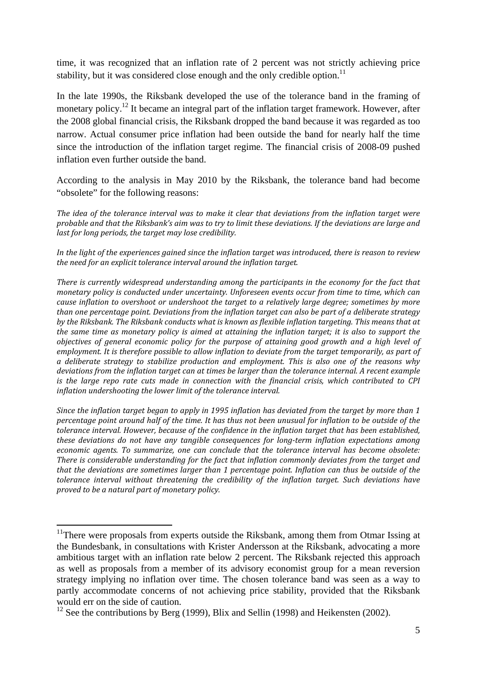time, it was recognized that an inflation rate of 2 percent was not strictly achieving price stability, but it was considered close enough and the only credible option.<sup>11</sup>

In the late 1990s, the Riksbank developed the use of the tolerance band in the framing of monetary policy.<sup>12</sup> It became an integral part of the inflation target framework. However, after the 2008 global financial crisis, the Riksbank dropped the band because it was regarded as too narrow. Actual consumer price inflation had been outside the band for nearly half the time since the introduction of the inflation target regime. The financial crisis of 2008-09 pushed inflation even further outside the band.

According to the analysis in May 2010 by the Riksbank, the tolerance band had become "obsolete" for the following reasons:

The idea of the tolerance interval was to make it clear that deviations from the inflation target were probable and that the Riksbank's aim was to try to limit these deviations. If the deviations are large and *last for long periods, the target may lose credibility.* 

In the light of the experiences gained since the inflation target was introduced, there is reason to review *the need for an explicit tolerance interval around the inflation target.* 

*There is currently widespread understanding among the participants in the economy for the fact that monetary policy is conducted under uncertainty. Unforeseen events occur from time to time, which can cause inflation to overshoot or undershoot the target to a relatively large degree; sometimes by more than one percentage point. Deviations from the inflation target can also be part of a deliberate strategy by the Riksbank. The Riksbank conducts what is known as flexible inflation targeting. This means that at* the same time as monetary policy is aimed at attaining the inflation target; it is also to support the *objectives of general economic policy for the purpose of attaining good growth and a high level of* employment. It is therefore possible to allow inflation to deviate from the target temporarily, as part of *a deliberate strategy to stabilize production and employment. This is also one of the reasons why deviations from the inflation target can at times be larger than the tolerance internal. A recent example is the large repo rate cuts made in connection with the financial crisis, which contributed to CPI inflation undershooting the lower limit of the tolerance interval.* 

Since the inflation target began to apply in 1995 inflation has deviated from the target by more than 1 percentage point around half of the time. It has thus not been unusual for inflation to be outside of the *tolerance interval. However, because of the confidence in the inflation target that has been established, these deviations do not have any tangible consequences for long‐term inflation expectations among economic agents. To summarize, one can conclude that the tolerance interval has become obsolete: There is considerable understanding for the fact that inflation commonly deviates from the target and that the deviations are sometimes larger than 1 percentage point. Inflation can thus be outside of the tolerance interval without threatening the credibility of the inflation target. Such deviations have proved to be a natural part of monetary policy.*

<u>.</u>

<sup>&</sup>lt;sup>11</sup>There were proposals from experts outside the Riksbank, among them from Otmar Issing at the Bundesbank, in consultations with Krister Andersson at the Riksbank, advocating a more ambitious target with an inflation rate below 2 percent. The Riksbank rejected this approach as well as proposals from a member of its advisory economist group for a mean reversion strategy implying no inflation over time. The chosen tolerance band was seen as a way to partly accommodate concerns of not achieving price stability, provided that the Riksbank would err on the side of caution.

 $12$  See the contributions by Berg (1999), Blix and Sellin (1998) and Heikensten (2002).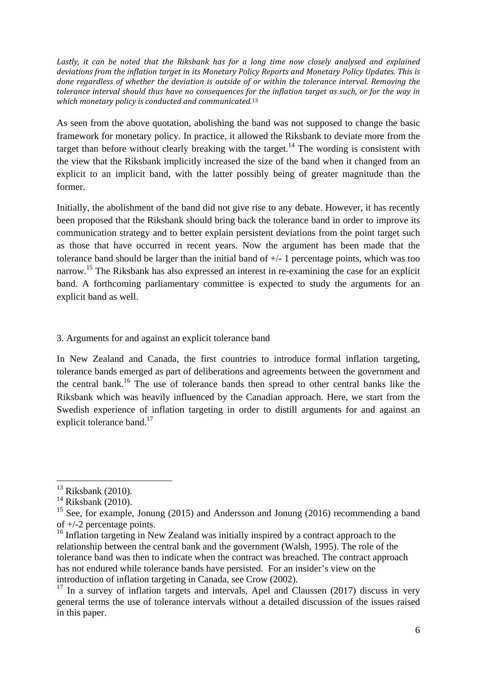*Lastly, it can be noted that the Riksbank has for a long time now closely analysed and explained deviations from the inflation target in its Monetary Policy Reports and Monetary Policy Updates. This is done regardless of whether the deviation is outside of or within the tolerance interval. Removing the* tolerance interval should thus have no consequences for the inflation target as such, or for the way in *which monetary policy is conducted and communicated.*<sup>13</sup>

As seen from the above quotation, abolishing the band was not supposed to change the basic framework for monetary policy. In practice, it allowed the Riksbank to deviate more from the target than before without clearly breaking with the target.<sup>14</sup> The wording is consistent with the view that the Riksbank implicitly increased the size of the band when it changed from an explicit to an implicit band, with the latter possibly being of greater magnitude than the former.

Initially, the abolishment of the band did not give rise to any debate. However, it has recently been proposed that the Riksbank should bring back the tolerance band in order to improve its communication strategy and to better explain persistent deviations from the point target such as those that have occurred in recent years. Now the argument has been made that the tolerance band should be larger than the initial band of +/- 1 percentage points, which was too narrow.<sup>15</sup> The Riksbank has also expressed an interest in re-examining the case for an explicit band. A forthcoming parliamentary committee is expected to study the arguments for an explicit band as well.

# 3. Arguments for and against an explicit tolerance band

In New Zealand and Canada, the first countries to introduce formal inflation targeting, tolerance bands emerged as part of deliberations and agreements between the government and the central bank.<sup>16</sup> The use of tolerance bands then spread to other central banks like the Riksbank which was heavily influenced by the Canadian approach. Here, we start from the Swedish experience of inflation targeting in order to distill arguments for and against an explicit tolerance band. $17$ 

<sup>1</sup> 

<sup>13</sup> Riksbank (2010)*.* 14 Riksbank (2010).

<sup>&</sup>lt;sup>15</sup> See, for example, Jonung (2015) and Andersson and Jonung (2016) recommending a band of +/-2 percentage points.

<sup>&</sup>lt;sup>16</sup> Inflation targeting in New Zealand was initially inspired by a contract approach to the relationship between the central bank and the government (Walsh, 1995). The role of the tolerance band was then to indicate when the contract was breached. The contract approach has not endured while tolerance bands have persisted. For an insider's view on the introduction of inflation targeting in Canada, see Crow (2002).

 $17$  In a survey of inflation targets and intervals, Apel and Claussen (2017) discuss in very general terms the use of tolerance intervals without a detailed discussion of the issues raised in this paper.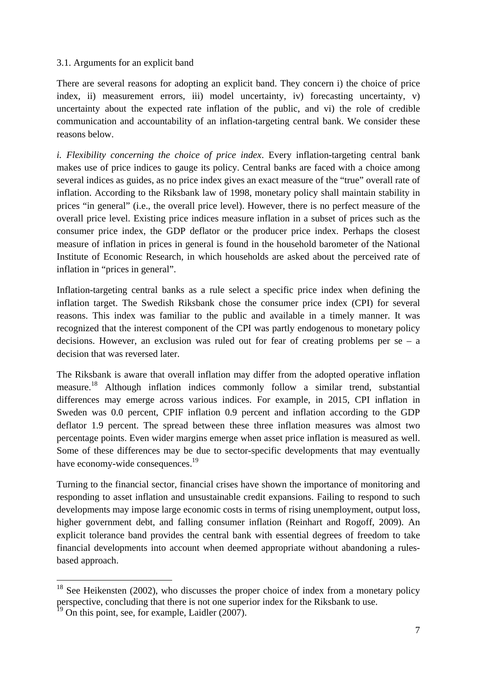#### 3.1. Arguments for an explicit band

There are several reasons for adopting an explicit band. They concern i) the choice of price index, ii) measurement errors, iii) model uncertainty, iv) forecasting uncertainty, v) uncertainty about the expected rate inflation of the public, and vi) the role of credible communication and accountability of an inflation-targeting central bank. We consider these reasons below.

*i. Flexibility concerning the choice of price index*. Every inflation-targeting central bank makes use of price indices to gauge its policy. Central banks are faced with a choice among several indices as guides, as no price index gives an exact measure of the "true" overall rate of inflation. According to the Riksbank law of 1998, monetary policy shall maintain stability in prices "in general" (i.e., the overall price level). However, there is no perfect measure of the overall price level. Existing price indices measure inflation in a subset of prices such as the consumer price index, the GDP deflator or the producer price index. Perhaps the closest measure of inflation in prices in general is found in the household barometer of the National Institute of Economic Research, in which households are asked about the perceived rate of inflation in "prices in general".

Inflation-targeting central banks as a rule select a specific price index when defining the inflation target. The Swedish Riksbank chose the consumer price index (CPI) for several reasons. This index was familiar to the public and available in a timely manner. It was recognized that the interest component of the CPI was partly endogenous to monetary policy decisions. However, an exclusion was ruled out for fear of creating problems per  $se - a$ decision that was reversed later.

The Riksbank is aware that overall inflation may differ from the adopted operative inflation measure.18 Although inflation indices commonly follow a similar trend, substantial differences may emerge across various indices. For example, in 2015, CPI inflation in Sweden was 0.0 percent, CPIF inflation 0.9 percent and inflation according to the GDP deflator 1.9 percent. The spread between these three inflation measures was almost two percentage points. Even wider margins emerge when asset price inflation is measured as well. Some of these differences may be due to sector-specific developments that may eventually have economy-wide consequences.<sup>19</sup>

Turning to the financial sector, financial crises have shown the importance of monitoring and responding to asset inflation and unsustainable credit expansions. Failing to respond to such developments may impose large economic costs in terms of rising unemployment, output loss, higher government debt, and falling consumer inflation (Reinhart and Rogoff, 2009). An explicit tolerance band provides the central bank with essential degrees of freedom to take financial developments into account when deemed appropriate without abandoning a rulesbased approach.

<u>.</u>

 $18$  See Heikensten (2002), who discusses the proper choice of index from a monetary policy perspective, concluding that there is not one superior index for the Riksbank to use.

 $\frac{19}{19}$  On this point, see, for example, Laidler (2007).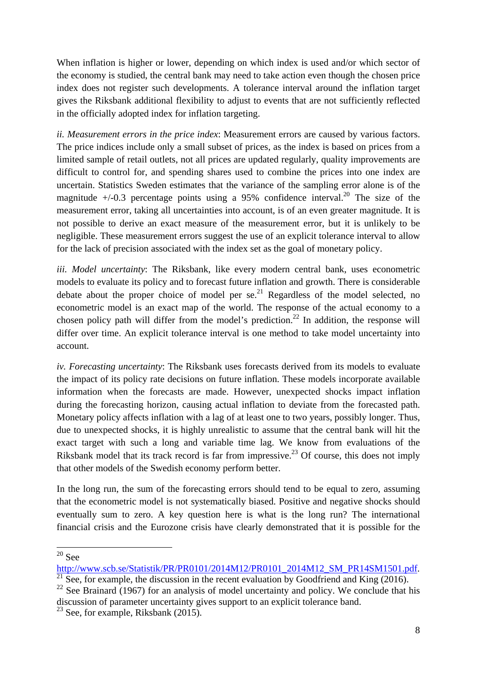When inflation is higher or lower, depending on which index is used and/or which sector of the economy is studied, the central bank may need to take action even though the chosen price index does not register such developments. A tolerance interval around the inflation target gives the Riksbank additional flexibility to adjust to events that are not sufficiently reflected in the officially adopted index for inflation targeting.

*ii. Measurement errors in the price index*: Measurement errors are caused by various factors. The price indices include only a small subset of prices, as the index is based on prices from a limited sample of retail outlets, not all prices are updated regularly, quality improvements are difficult to control for, and spending shares used to combine the prices into one index are uncertain. Statistics Sweden estimates that the variance of the sampling error alone is of the magnitude  $+/0.3$  percentage points using a 95% confidence interval.<sup>20</sup> The size of the measurement error, taking all uncertainties into account, is of an even greater magnitude. It is not possible to derive an exact measure of the measurement error, but it is unlikely to be negligible. These measurement errors suggest the use of an explicit tolerance interval to allow for the lack of precision associated with the index set as the goal of monetary policy.

*iii. Model uncertainty*: The Riksbank, like every modern central bank, uses econometric models to evaluate its policy and to forecast future inflation and growth. There is considerable debate about the proper choice of model per se. $^{21}$  Regardless of the model selected, no econometric model is an exact map of the world. The response of the actual economy to a chosen policy path will differ from the model's prediction.<sup>22</sup> In addition, the response will differ over time. An explicit tolerance interval is one method to take model uncertainty into account.

*iv. Forecasting uncertainty*: The Riksbank uses forecasts derived from its models to evaluate the impact of its policy rate decisions on future inflation. These models incorporate available information when the forecasts are made. However, unexpected shocks impact inflation during the forecasting horizon, causing actual inflation to deviate from the forecasted path. Monetary policy affects inflation with a lag of at least one to two years, possibly longer. Thus, due to unexpected shocks, it is highly unrealistic to assume that the central bank will hit the exact target with such a long and variable time lag. We know from evaluations of the Riksbank model that its track record is far from impressive.<sup>23</sup> Of course, this does not imply that other models of the Swedish economy perform better.

In the long run, the sum of the forecasting errors should tend to be equal to zero, assuming that the econometric model is not systematically biased. Positive and negative shocks should eventually sum to zero. A key question here is what is the long run? The international financial crisis and the Eurozone crisis have clearly demonstrated that it is possible for the

1  $20$  See

http://www.scb.se/Statistik/PR/PR0101/2014M12/PR0101\_2014M12\_SM\_PR14SM1501.pdf. <sup>21</sup> See, for example, the discussion in the recent evaluation by Goodfriend and King (2016).

 $22$  See Brainard (1967) for an analysis of model uncertainty and policy. We conclude that his discussion of parameter uncertainty gives support to an explicit tolerance band.

<sup>&</sup>lt;sup>23</sup> See, for example, Riksbank (2015).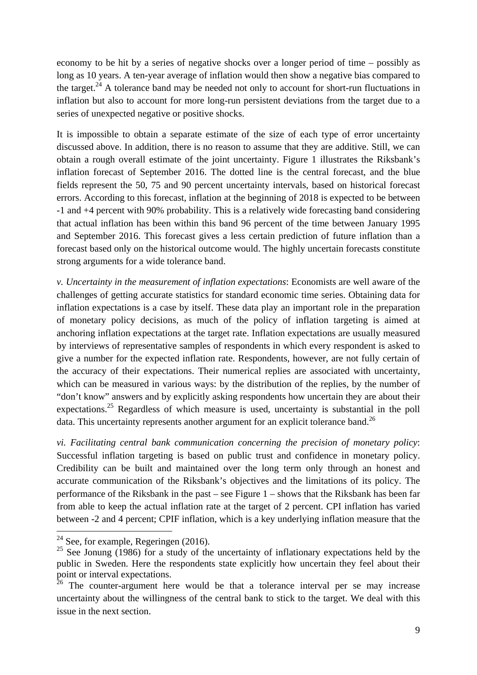economy to be hit by a series of negative shocks over a longer period of time – possibly as long as 10 years. A ten-year average of inflation would then show a negative bias compared to the target.<sup>24</sup> A tolerance band may be needed not only to account for short-run fluctuations in inflation but also to account for more long-run persistent deviations from the target due to a series of unexpected negative or positive shocks.

It is impossible to obtain a separate estimate of the size of each type of error uncertainty discussed above. In addition, there is no reason to assume that they are additive. Still, we can obtain a rough overall estimate of the joint uncertainty. Figure 1 illustrates the Riksbank's inflation forecast of September 2016. The dotted line is the central forecast, and the blue fields represent the 50, 75 and 90 percent uncertainty intervals, based on historical forecast errors. According to this forecast, inflation at the beginning of 2018 is expected to be between -1 and +4 percent with 90% probability. This is a relatively wide forecasting band considering that actual inflation has been within this band 96 percent of the time between January 1995 and September 2016. This forecast gives a less certain prediction of future inflation than a forecast based only on the historical outcome would. The highly uncertain forecasts constitute strong arguments for a wide tolerance band.

*v. Uncertainty in the measurement of inflation expectations*: Economists are well aware of the challenges of getting accurate statistics for standard economic time series. Obtaining data for inflation expectations is a case by itself. These data play an important role in the preparation of monetary policy decisions, as much of the policy of inflation targeting is aimed at anchoring inflation expectations at the target rate. Inflation expectations are usually measured by interviews of representative samples of respondents in which every respondent is asked to give a number for the expected inflation rate. Respondents, however, are not fully certain of the accuracy of their expectations. Their numerical replies are associated with uncertainty, which can be measured in various ways: by the distribution of the replies, by the number of "don't know" answers and by explicitly asking respondents how uncertain they are about their expectations.<sup>25</sup> Regardless of which measure is used, uncertainty is substantial in the poll data. This uncertainty represents another argument for an explicit tolerance band.<sup>26</sup>

*vi. Facilitating central bank communication concerning the precision of monetary policy*: Successful inflation targeting is based on public trust and confidence in monetary policy. Credibility can be built and maintained over the long term only through an honest and accurate communication of the Riksbank's objectives and the limitations of its policy. The performance of the Riksbank in the past – see Figure 1 – shows that the Riksbank has been far from able to keep the actual inflation rate at the target of 2 percent. CPI inflation has varied between -2 and 4 percent; CPIF inflation, which is a key underlying inflation measure that the

1

 $24$  See, for example, Regeringen (2016).

<sup>&</sup>lt;sup>25</sup> See Jonung (1986) for a study of the uncertainty of inflationary expectations held by the public in Sweden. Here the respondents state explicitly how uncertain they feel about their point or interval expectations.

 $26$  The counter-argument here would be that a tolerance interval per se may increase uncertainty about the willingness of the central bank to stick to the target. We deal with this issue in the next section.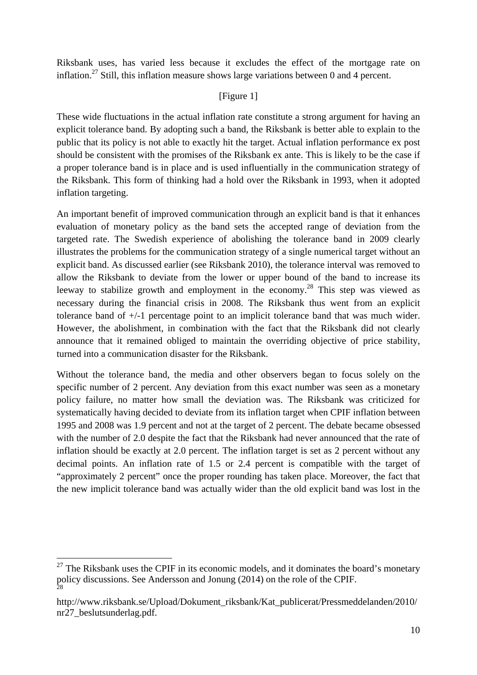Riksbank uses, has varied less because it excludes the effect of the mortgage rate on inflation.<sup>27</sup> Still, this inflation measure shows large variations between 0 and 4 percent.

# [Figure 1]

These wide fluctuations in the actual inflation rate constitute a strong argument for having an explicit tolerance band. By adopting such a band, the Riksbank is better able to explain to the public that its policy is not able to exactly hit the target. Actual inflation performance ex post should be consistent with the promises of the Riksbank ex ante. This is likely to be the case if a proper tolerance band is in place and is used influentially in the communication strategy of the Riksbank. This form of thinking had a hold over the Riksbank in 1993, when it adopted inflation targeting.

An important benefit of improved communication through an explicit band is that it enhances evaluation of monetary policy as the band sets the accepted range of deviation from the targeted rate. The Swedish experience of abolishing the tolerance band in 2009 clearly illustrates the problems for the communication strategy of a single numerical target without an explicit band. As discussed earlier (see Riksbank 2010), the tolerance interval was removed to allow the Riksbank to deviate from the lower or upper bound of the band to increase its leeway to stabilize growth and employment in the economy.<sup>28</sup> This step was viewed as necessary during the financial crisis in 2008. The Riksbank thus went from an explicit tolerance band of +/-1 percentage point to an implicit tolerance band that was much wider. However, the abolishment, in combination with the fact that the Riksbank did not clearly announce that it remained obliged to maintain the overriding objective of price stability, turned into a communication disaster for the Riksbank.

Without the tolerance band, the media and other observers began to focus solely on the specific number of 2 percent. Any deviation from this exact number was seen as a monetary policy failure, no matter how small the deviation was. The Riksbank was criticized for systematically having decided to deviate from its inflation target when CPIF inflation between 1995 and 2008 was 1.9 percent and not at the target of 2 percent. The debate became obsessed with the number of 2.0 despite the fact that the Riksbank had never announced that the rate of inflation should be exactly at 2.0 percent. The inflation target is set as 2 percent without any decimal points. An inflation rate of 1.5 or 2.4 percent is compatible with the target of "approximately 2 percent" once the proper rounding has taken place. Moreover, the fact that the new implicit tolerance band was actually wider than the old explicit band was lost in the

1

 $27$  The Riksbank uses the CPIF in its economic models, and it dominates the board's monetary policy discussions. See Andersson and Jonung (2014) on the role of the CPIF. 28

http://www.riksbank.se/Upload/Dokument\_riksbank/Kat\_publicerat/Pressmeddelanden/2010/ nr27\_beslutsunderlag.pdf.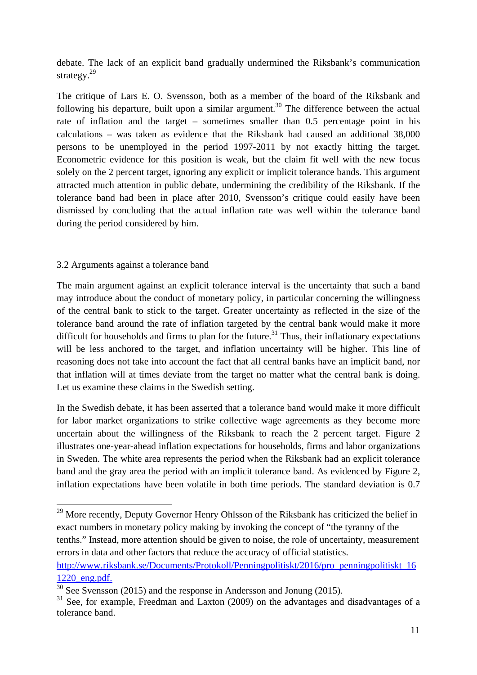debate. The lack of an explicit band gradually undermined the Riksbank's communication strategy.<sup>29</sup>

The critique of Lars E. O. Svensson, both as a member of the board of the Riksbank and following his departure, built upon a similar argument.<sup>30</sup> The difference between the actual rate of inflation and the target – sometimes smaller than 0.5 percentage point in his calculations – was taken as evidence that the Riksbank had caused an additional 38,000 persons to be unemployed in the period 1997-2011 by not exactly hitting the target. Econometric evidence for this position is weak, but the claim fit well with the new focus solely on the 2 percent target, ignoring any explicit or implicit tolerance bands. This argument attracted much attention in public debate, undermining the credibility of the Riksbank. If the tolerance band had been in place after 2010, Svensson's critique could easily have been dismissed by concluding that the actual inflation rate was well within the tolerance band during the period considered by him.

### 3.2 Arguments against a tolerance band

<u>.</u>

The main argument against an explicit tolerance interval is the uncertainty that such a band may introduce about the conduct of monetary policy, in particular concerning the willingness of the central bank to stick to the target. Greater uncertainty as reflected in the size of the tolerance band around the rate of inflation targeted by the central bank would make it more difficult for households and firms to plan for the future.<sup>31</sup> Thus, their inflationary expectations will be less anchored to the target, and inflation uncertainty will be higher. This line of reasoning does not take into account the fact that all central banks have an implicit band, nor that inflation will at times deviate from the target no matter what the central bank is doing. Let us examine these claims in the Swedish setting.

In the Swedish debate, it has been asserted that a tolerance band would make it more difficult for labor market organizations to strike collective wage agreements as they become more uncertain about the willingness of the Riksbank to reach the 2 percent target. Figure 2 illustrates one-year-ahead inflation expectations for households, firms and labor organizations in Sweden. The white area represents the period when the Riksbank had an explicit tolerance band and the gray area the period with an implicit tolerance band. As evidenced by Figure 2, inflation expectations have been volatile in both time periods. The standard deviation is 0.7

 $29$  More recently, Deputy Governor Henry Ohlsson of the Riksbank has criticized the belief in exact numbers in monetary policy making by invoking the concept of "the tyranny of the tenths." Instead, more attention should be given to noise, the role of uncertainty, measurement errors in data and other factors that reduce the accuracy of official statistics.

http://www.riksbank.se/Documents/Protokoll/Penningpolitiskt/2016/pro\_penningpolitiskt\_16

 $\frac{1220 \text{ eng.pdf.}}{^{30} \text{ See Svensson}}$  (2015) and the response in Andersson and Jonung (2015).

 $31$  See, for example, Freedman and Laxton (2009) on the advantages and disadvantages of a tolerance band.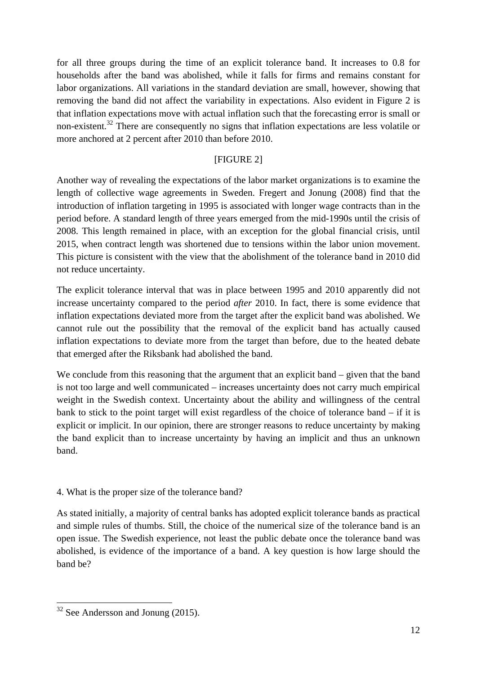for all three groups during the time of an explicit tolerance band. It increases to 0.8 for households after the band was abolished, while it falls for firms and remains constant for labor organizations. All variations in the standard deviation are small, however, showing that removing the band did not affect the variability in expectations. Also evident in Figure 2 is that inflation expectations move with actual inflation such that the forecasting error is small or non-existent.<sup>32</sup> There are consequently no signs that inflation expectations are less volatile or more anchored at 2 percent after 2010 than before 2010.

# [FIGURE 2]

Another way of revealing the expectations of the labor market organizations is to examine the length of collective wage agreements in Sweden. Fregert and Jonung (2008) find that the introduction of inflation targeting in 1995 is associated with longer wage contracts than in the period before. A standard length of three years emerged from the mid-1990s until the crisis of 2008. This length remained in place, with an exception for the global financial crisis, until 2015, when contract length was shortened due to tensions within the labor union movement. This picture is consistent with the view that the abolishment of the tolerance band in 2010 did not reduce uncertainty.

The explicit tolerance interval that was in place between 1995 and 2010 apparently did not increase uncertainty compared to the period *after* 2010. In fact, there is some evidence that inflation expectations deviated more from the target after the explicit band was abolished. We cannot rule out the possibility that the removal of the explicit band has actually caused inflation expectations to deviate more from the target than before, due to the heated debate that emerged after the Riksbank had abolished the band.

We conclude from this reasoning that the argument that an explicit band – given that the band is not too large and well communicated – increases uncertainty does not carry much empirical weight in the Swedish context. Uncertainty about the ability and willingness of the central bank to stick to the point target will exist regardless of the choice of tolerance band – if it is explicit or implicit. In our opinion, there are stronger reasons to reduce uncertainty by making the band explicit than to increase uncertainty by having an implicit and thus an unknown band.

#### 4. What is the proper size of the tolerance band?

As stated initially, a majority of central banks has adopted explicit tolerance bands as practical and simple rules of thumbs. Still, the choice of the numerical size of the tolerance band is an open issue. The Swedish experience, not least the public debate once the tolerance band was abolished, is evidence of the importance of a band. A key question is how large should the band be?

1

 $32$  See Andersson and Jonung (2015).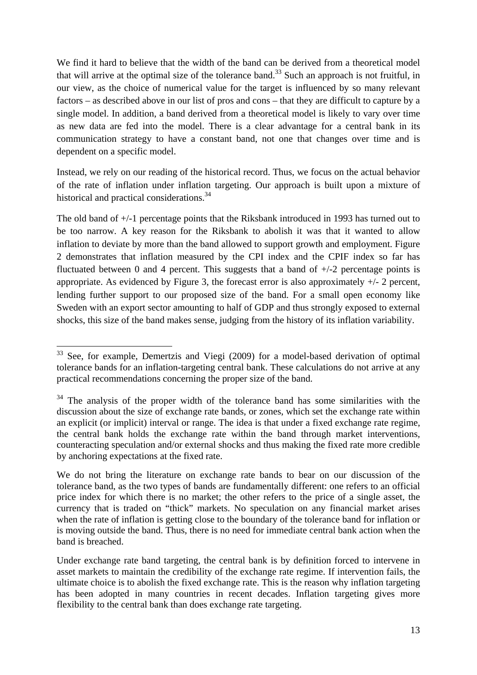We find it hard to believe that the width of the band can be derived from a theoretical model that will arrive at the optimal size of the tolerance band.<sup>33</sup> Such an approach is not fruitful, in our view, as the choice of numerical value for the target is influenced by so many relevant factors – as described above in our list of pros and cons – that they are difficult to capture by a single model. In addition, a band derived from a theoretical model is likely to vary over time as new data are fed into the model. There is a clear advantage for a central bank in its communication strategy to have a constant band, not one that changes over time and is dependent on a specific model.

Instead, we rely on our reading of the historical record. Thus, we focus on the actual behavior of the rate of inflation under inflation targeting. Our approach is built upon a mixture of historical and practical considerations.<sup>34</sup>

The old band of +/-1 percentage points that the Riksbank introduced in 1993 has turned out to be too narrow. A key reason for the Riksbank to abolish it was that it wanted to allow inflation to deviate by more than the band allowed to support growth and employment. Figure 2 demonstrates that inflation measured by the CPI index and the CPIF index so far has fluctuated between 0 and 4 percent. This suggests that a band of  $+/-2$  percentage points is appropriate. As evidenced by Figure 3, the forecast error is also approximately  $+/- 2$  percent, lending further support to our proposed size of the band. For a small open economy like Sweden with an export sector amounting to half of GDP and thus strongly exposed to external shocks, this size of the band makes sense, judging from the history of its inflation variability.

<sup>1</sup> <sup>33</sup> See, for example, Demertzis and Viegi (2009) for a model-based derivation of optimal tolerance bands for an inflation-targeting central bank. These calculations do not arrive at any practical recommendations concerning the proper size of the band.

<sup>&</sup>lt;sup>34</sup> The analysis of the proper width of the tolerance band has some similarities with the discussion about the size of exchange rate bands, or zones, which set the exchange rate within an explicit (or implicit) interval or range. The idea is that under a fixed exchange rate regime, the central bank holds the exchange rate within the band through market interventions, counteracting speculation and/or external shocks and thus making the fixed rate more credible by anchoring expectations at the fixed rate.

We do not bring the literature on exchange rate bands to bear on our discussion of the tolerance band, as the two types of bands are fundamentally different: one refers to an official price index for which there is no market; the other refers to the price of a single asset, the currency that is traded on "thick" markets. No speculation on any financial market arises when the rate of inflation is getting close to the boundary of the tolerance band for inflation or is moving outside the band. Thus, there is no need for immediate central bank action when the band is breached.

Under exchange rate band targeting, the central bank is by definition forced to intervene in asset markets to maintain the credibility of the exchange rate regime. If intervention fails, the ultimate choice is to abolish the fixed exchange rate. This is the reason why inflation targeting has been adopted in many countries in recent decades. Inflation targeting gives more flexibility to the central bank than does exchange rate targeting.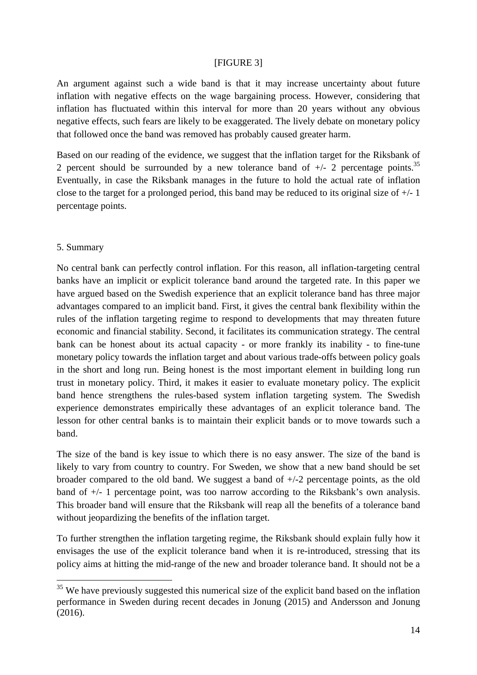#### [FIGURE 3]

An argument against such a wide band is that it may increase uncertainty about future inflation with negative effects on the wage bargaining process. However, considering that inflation has fluctuated within this interval for more than 20 years without any obvious negative effects, such fears are likely to be exaggerated. The lively debate on monetary policy that followed once the band was removed has probably caused greater harm.

Based on our reading of the evidence, we suggest that the inflation target for the Riksbank of 2 percent should be surrounded by a new tolerance band of  $+/-$  2 percentage points.<sup>35</sup> Eventually, in case the Riksbank manages in the future to hold the actual rate of inflation close to the target for a prolonged period, this band may be reduced to its original size of  $+/-1$ percentage points.

#### 5. Summary

<u>.</u>

No central bank can perfectly control inflation. For this reason, all inflation-targeting central banks have an implicit or explicit tolerance band around the targeted rate. In this paper we have argued based on the Swedish experience that an explicit tolerance band has three major advantages compared to an implicit band. First, it gives the central bank flexibility within the rules of the inflation targeting regime to respond to developments that may threaten future economic and financial stability. Second, it facilitates its communication strategy. The central bank can be honest about its actual capacity - or more frankly its inability - to fine-tune monetary policy towards the inflation target and about various trade-offs between policy goals in the short and long run. Being honest is the most important element in building long run trust in monetary policy. Third, it makes it easier to evaluate monetary policy. The explicit band hence strengthens the rules-based system inflation targeting system. The Swedish experience demonstrates empirically these advantages of an explicit tolerance band. The lesson for other central banks is to maintain their explicit bands or to move towards such a band.

The size of the band is key issue to which there is no easy answer. The size of the band is likely to vary from country to country. For Sweden, we show that a new band should be set broader compared to the old band. We suggest a band of  $+/-2$  percentage points, as the old band of +/- 1 percentage point, was too narrow according to the Riksbank's own analysis. This broader band will ensure that the Riksbank will reap all the benefits of a tolerance band without jeopardizing the benefits of the inflation target.

To further strengthen the inflation targeting regime, the Riksbank should explain fully how it envisages the use of the explicit tolerance band when it is re-introduced, stressing that its policy aims at hitting the mid-range of the new and broader tolerance band. It should not be a

 $35$  We have previously suggested this numerical size of the explicit band based on the inflation performance in Sweden during recent decades in Jonung (2015) and Andersson and Jonung (2016).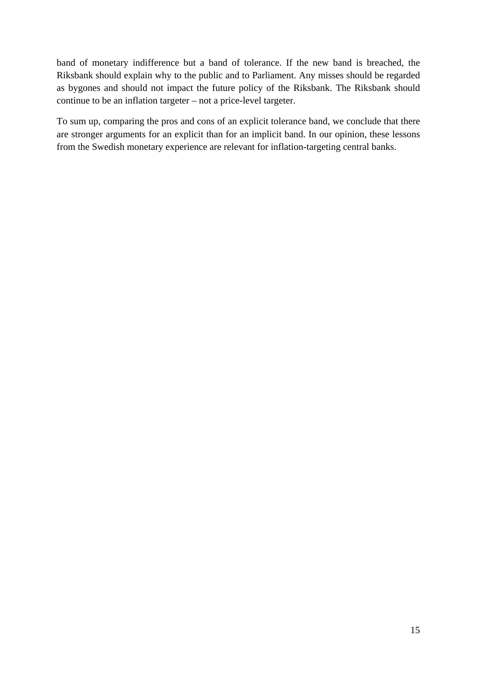band of monetary indifference but a band of tolerance. If the new band is breached, the Riksbank should explain why to the public and to Parliament. Any misses should be regarded as bygones and should not impact the future policy of the Riksbank. The Riksbank should continue to be an inflation targeter – not a price-level targeter.

To sum up, comparing the pros and cons of an explicit tolerance band, we conclude that there are stronger arguments for an explicit than for an implicit band. In our opinion, these lessons from the Swedish monetary experience are relevant for inflation-targeting central banks.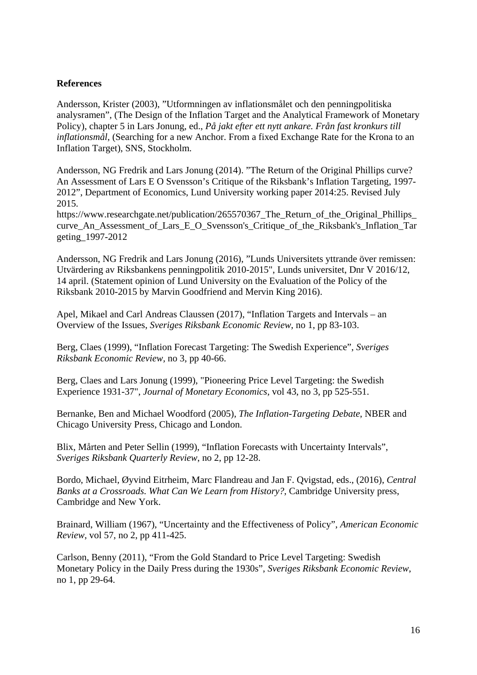#### **References**

Andersson, Krister (2003), "Utformningen av inflationsmålet och den penningpolitiska analysramen", (The Design of the Inflation Target and the Analytical Framework of Monetary Policy), chapter 5 in Lars Jonung, ed., *På jakt efter ett nytt ankare. Från fast kronkurs till inflationsmål*, (Searching for a new Anchor. From a fixed Exchange Rate for the Krona to an Inflation Target), SNS, Stockholm.

Andersson, NG Fredrik and Lars Jonung (2014). "The Return of the Original Phillips curve? An Assessment of Lars E O Svensson's Critique of the Riksbank's Inflation Targeting, 1997- 2012", Department of Economics, Lund University working paper 2014:25. Revised July 2015.

https://www.researchgate.net/publication/265570367 The Return of the Original Phillips curve An Assessment of Lars E O Svensson's Critique of the Riksbank's Inflation Tar geting\_1997-2012

Andersson, NG Fredrik and Lars Jonung (2016), "Lunds Universitets yttrande över remissen: Utvärdering av Riksbankens penningpolitik 2010-2015", Lunds universitet, Dnr V 2016/12, 14 april. (Statement opinion of Lund University on the Evaluation of the Policy of the Riksbank 2010-2015 by Marvin Goodfriend and Mervin King 2016).

Apel, Mikael and Carl Andreas Claussen (2017), "Inflation Targets and Intervals – an Overview of the Issues, *Sveriges Riksbank Economic Review*, no 1, pp 83-103.

Berg, Claes (1999), "Inflation Forecast Targeting: The Swedish Experience", *Sveriges Riksbank Economic Review,* no 3, pp 40-66.

Berg, Claes and Lars Jonung (1999), "Pioneering Price Level Targeting: the Swedish Experience 1931-37", *Journal of Monetary Economics*, vol 43, no 3, pp 525-551.

Bernanke, Ben and Michael Woodford (2005), *The Inflation-Targeting Debate*, NBER and Chicago University Press, Chicago and London.

Blix, Mårten and Peter Sellin (1999), "Inflation Forecasts with Uncertainty Intervals", *Sveriges Riksbank Quarterly Review*, no 2, pp 12-28.

Bordo, Michael, Øyvind Eitrheim, Marc Flandreau and Jan F. Qvigstad, eds., (2016), *Central Banks at a Crossroads. What Can We Learn from History?*, Cambridge University press, Cambridge and New York.

Brainard, William (1967), "Uncertainty and the Effectiveness of Policy", *American Economic Review*, vol 57, no 2, pp 411-425.

Carlson, Benny (2011), "From the Gold Standard to Price Level Targeting: Swedish Monetary Policy in the Daily Press during the 1930s", *Sveriges Riksbank Economic Review*, no 1, pp 29-64.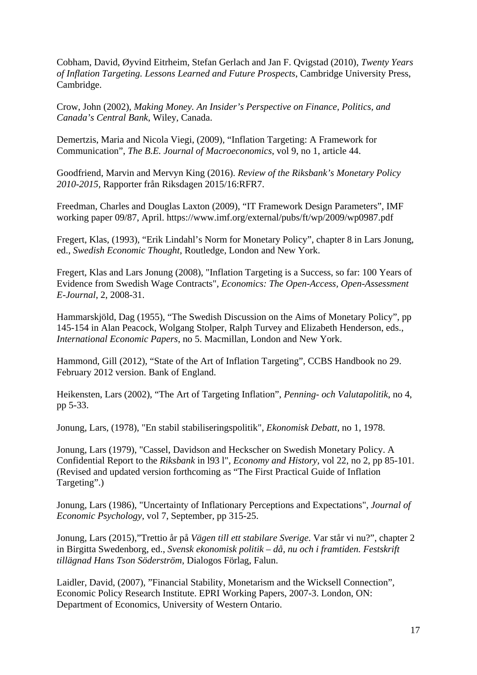Cobham, David, Øyvind Eitrheim, Stefan Gerlach and Jan F. Qvigstad (2010), *Twenty Years of Inflation Targeting. Lessons Learned and Future Prospects*, Cambridge University Press, Cambridge.

Crow, John (2002), *Making Money. An Insider's Perspective on Finance, Politics, and Canada's Central Bank*, Wiley, Canada.

Demertzis, Maria and Nicola Viegi, (2009), "Inflation Targeting: A Framework for Communication", *The B.E. Journal of Macroeconomics*, vol 9, no 1, article 44.

Goodfriend, Marvin and Mervyn King (2016). *Review of the Riksbank's Monetary Policy 2010-2015,* Rapporter från Riksdagen 2015/16:RFR7.

Freedman, Charles and Douglas Laxton (2009), "IT Framework Design Parameters", IMF working paper 09/87, April. https://www.imf.org/external/pubs/ft/wp/2009/wp0987.pdf

Fregert, Klas, (1993), "Erik Lindahl's Norm for Monetary Policy", chapter 8 in Lars Jonung, ed., *Swedish Economic Thought*, Routledge, London and New York.

Fregert, Klas and Lars Jonung (2008), "Inflation Targeting is a Success, so far: 100 Years of Evidence from Swedish Wage Contracts", *Economics: The Open-Access, Open-Assessment E-Journal*, 2, 2008-31.

Hammarskjöld, Dag (1955), "The Swedish Discussion on the Aims of Monetary Policy", pp 145-154 in Alan Peacock, Wolgang Stolper, Ralph Turvey and Elizabeth Henderson, eds., *International Economic Papers*, no 5. Macmillan, London and New York.

Hammond, Gill (2012), "State of the Art of Inflation Targeting", CCBS Handbook no 29. February 2012 version. Bank of England.

Heikensten, Lars (2002), "The Art of Targeting Inflation", *Penning- och Valutapolitik*, no 4, pp 5-33.

Jonung, Lars, (1978), "En stabil stabiliseringspolitik", *Ekonomisk Debatt,* no 1, 1978.

Jonung, Lars (1979), "Cassel, Davidson and Heckscher on Swedish Monetary Policy. A Confidential Report to the *Riksbank* in l93 l", *Economy and History,* vol 22, no 2, pp 85-101. (Revised and updated version forthcoming as "The First Practical Guide of Inflation Targeting".)

Jonung, Lars (1986), "Uncertainty of Inflationary Perceptions and Expectations", *Journal of Economic Psychology,* vol 7, September, pp 315-25.

Jonung, Lars (2015),"Trettio år på *Vägen till ett stabilare Sverige*. Var står vi nu?", chapter 2 in Birgitta Swedenborg, ed., *Svensk ekonomisk politik – då, nu och i framtiden. Festskrift tillägnad Hans Tson Söderström,* Dialogos Förlag, Falun.

Laidler, David, (2007), "Financial Stability, Monetarism and the Wicksell Connection", Economic Policy Research Institute. EPRI Working Papers, 2007-3. London, ON: Department of Economics, University of Western Ontario.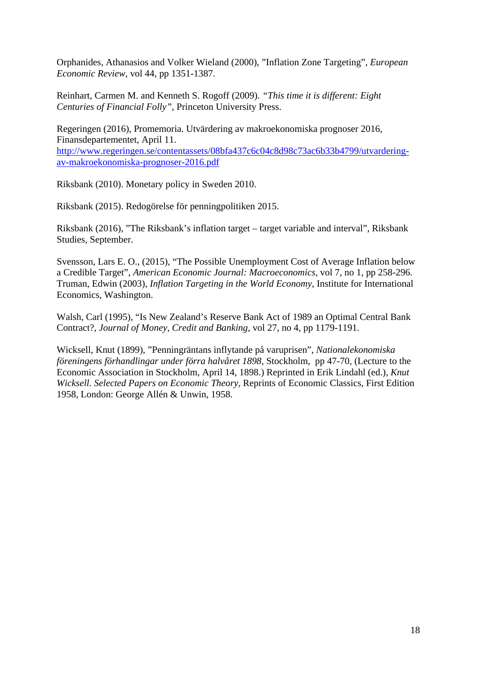Orphanides, Athanasios and Volker Wieland (2000), "Inflation Zone Targeting", *European Economic Review*, vol 44, pp 1351-1387.

Reinhart, Carmen M. and Kenneth S. Rogoff (2009). *"This time it is different: Eight Centuries of Financial Folly"*, Princeton University Press.

Regeringen (2016), Promemoria. Utvärdering av makroekonomiska prognoser 2016, Finansdepartementet, April 11. http://www.regeringen.se/contentassets/08bfa437c6c04c8d98c73ac6b33b4799/utvarderingav-makroekonomiska-prognoser-2016.pdf

Riksbank (2010). Monetary policy in Sweden 2010.

Riksbank (2015). Redogörelse för penningpolitiken 2015.

Riksbank (2016), "The Riksbank's inflation target – target variable and interval", Riksbank Studies, September.

Svensson, Lars E. O., (2015), "The Possible Unemployment Cost of Average Inflation below a Credible Target", *American Economic Journal: Macroeconomics,* vol 7, no 1, pp 258-296. Truman, Edwin (2003), *Inflation Targeting in the World Economy*, Institute for International Economics, Washington.

Walsh, Carl (1995), "Is New Zealand's Reserve Bank Act of 1989 an Optimal Central Bank Contract?, *Journal of Money, Credit and Banking*, vol 27, no 4, pp 1179-1191.

Wicksell, Knut (1899), "Penningräntans inflytande på varuprisen", *Nationalekonomiska föreningens förhandlingar under förra halvåret 1898*, Stockholm, pp 47-70, (Lecture to the Economic Association in Stockholm, April 14, 1898.) Reprinted in Erik Lindahl (ed.), *Knut Wicksell. Selected Papers on Economic Theory,* Reprints of Economic Classics, First Edition 1958, London: George Allén & Unwin, 1958.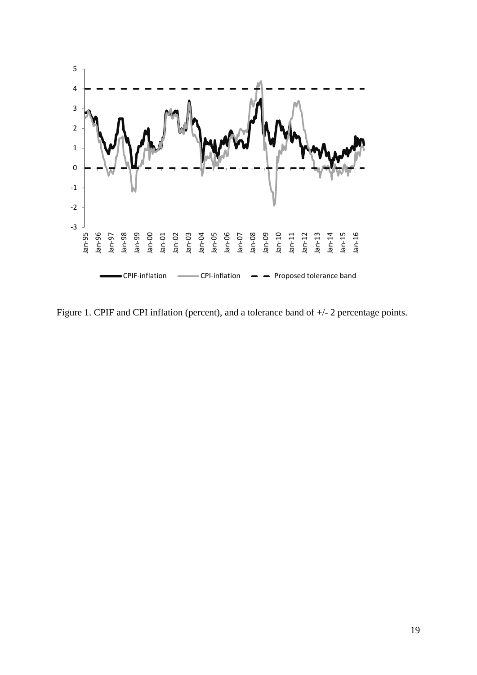

Figure 1. CPIF and CPI inflation (percent), and a tolerance band of +/- 2 percentage points.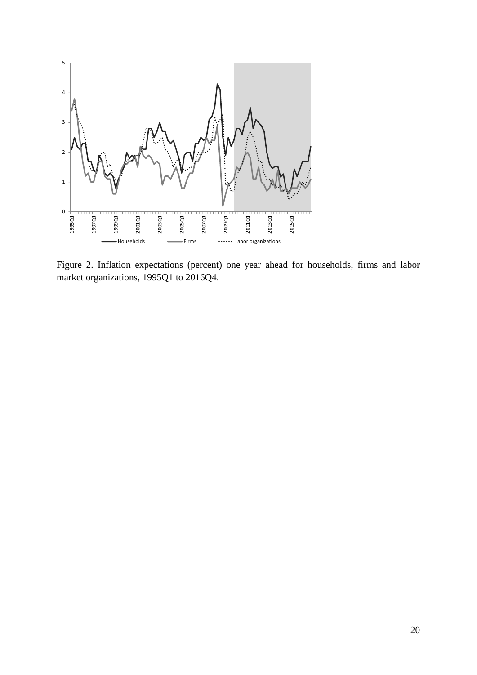

Figure 2. Inflation expectations (percent) one year ahead for households, firms and labor market organizations, 1995Q1 to 2016Q4.